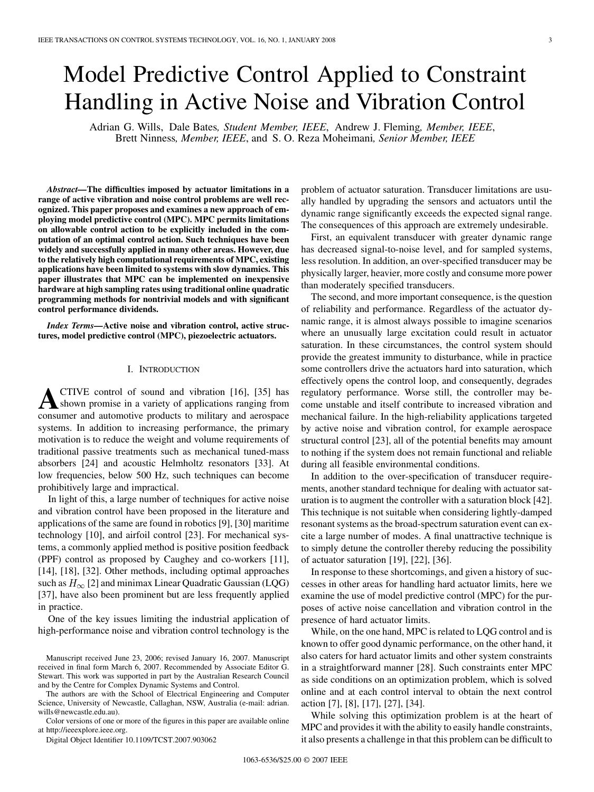# Model Predictive Control Applied to Constraint Handling in Active Noise and Vibration Control

Adrian G. Wills, Dale Bates*, Student Member, IEEE*, Andrew J. Fleming*, Member, IEEE*, Brett Ninness*, Member, IEEE*, and S. O. Reza Moheimani*, Senior Member, IEEE*

*Abstract—***The difficulties imposed by actuator limitations in a range of active vibration and noise control problems are well recognized. This paper proposes and examines a new approach of employing model predictive control (MPC). MPC permits limitations on allowable control action to be explicitly included in the computation of an optimal control action. Such techniques have been widely and successfully applied in many other areas. However, due to the relatively high computational requirements of MPC, existing applications have been limited to systems with slow dynamics. This paper illustrates that MPC can be implemented on inexpensive hardware at high sampling rates using traditional online quadratic programming methods for nontrivial models and with significant control performance dividends.**

*Index Terms—***Active noise and vibration control, active structures, model predictive control (MPC), piezoelectric actuators.**

# I. INTRODUCTION

**ACTIVE** control of sound and vibration [16], [35] has<br>shown promise in a variety of applications ranging from consumer and automotive products to military and aerospace systems. In addition to increasing performance, the primary motivation is to reduce the weight and volume requirements of traditional passive treatments such as mechanical tuned-mass absorbers [24] and acoustic Helmholtz resonators [33]. At low frequencies, below 500 Hz, such techniques can become prohibitively large and impractical.

In light of this, a large number of techniques for active noise and vibration control have been proposed in the literature and applications of the same are found in robotics [9], [30] maritime technology [10], and airfoil control [23]. For mechanical systems, a commonly applied method is positive position feedback (PPF) control as proposed by Caughey and co-workers [11], [14], [18], [32]. Other methods, including optimal approaches such as  $H_{\infty}$  [2] and minimax Linear Quadratic Gaussian (LQG) [37], have also been prominent but are less frequently applied in practice.

One of the key issues limiting the industrial application of high-performance noise and vibration control technology is the

The authors are with the School of Electrical Engineering and Computer Science, University of Newcastle, Callaghan, NSW, Australia (e-mail: adrian. wills@newcastle.edu.au).

Color versions of one or more of the figures in this paper are available online at http://ieeexplore.ieee.org.

Digital Object Identifier 10.1109/TCST.2007.903062

problem of actuator saturation. Transducer limitations are usually handled by upgrading the sensors and actuators until the dynamic range significantly exceeds the expected signal range. The consequences of this approach are extremely undesirable.

First, an equivalent transducer with greater dynamic range has decreased signal-to-noise level, and for sampled systems, less resolution. In addition, an over-specified transducer may be physically larger, heavier, more costly and consume more power than moderately specified transducers.

The second, and more important consequence, is the question of reliability and performance. Regardless of the actuator dynamic range, it is almost always possible to imagine scenarios where an unusually large excitation could result in actuator saturation. In these circumstances, the control system should provide the greatest immunity to disturbance, while in practice some controllers drive the actuators hard into saturation, which effectively opens the control loop, and consequently, degrades regulatory performance. Worse still, the controller may become unstable and itself contribute to increased vibration and mechanical failure. In the high-reliability applications targeted by active noise and vibration control, for example aerospace structural control [23], all of the potential benefits may amount to nothing if the system does not remain functional and reliable during all feasible environmental conditions.

In addition to the over-specification of transducer requirements, another standard technique for dealing with actuator saturation is to augment the controller with a saturation block [42]. This technique is not suitable when considering lightly-damped resonant systems as the broad-spectrum saturation event can excite a large number of modes. A final unattractive technique is to simply detune the controller thereby reducing the possibility of actuator saturation [19], [22], [36].

In response to these shortcomings, and given a history of successes in other areas for handling hard actuator limits, here we examine the use of model predictive control (MPC) for the purposes of active noise cancellation and vibration control in the presence of hard actuator limits.

While, on the one hand, MPC is related to LQG control and is known to offer good dynamic performance, on the other hand, it also caters for hard actuator limits and other system constraints in a straightforward manner [28]. Such constraints enter MPC as side conditions on an optimization problem, which is solved online and at each control interval to obtain the next control action [7], [8], [17], [27], [34].

While solving this optimization problem is at the heart of MPC and provides it with the ability to easily handle constraints, it also presents a challenge in that this problem can be difficult to

Manuscript received June 23, 2006; revised January 16, 2007. Manuscript received in final form March 6, 2007. Recommended by Associate Editor G. Stewart. This work was supported in part by the Australian Research Council and by the Centre for Complex Dynamic Systems and Control.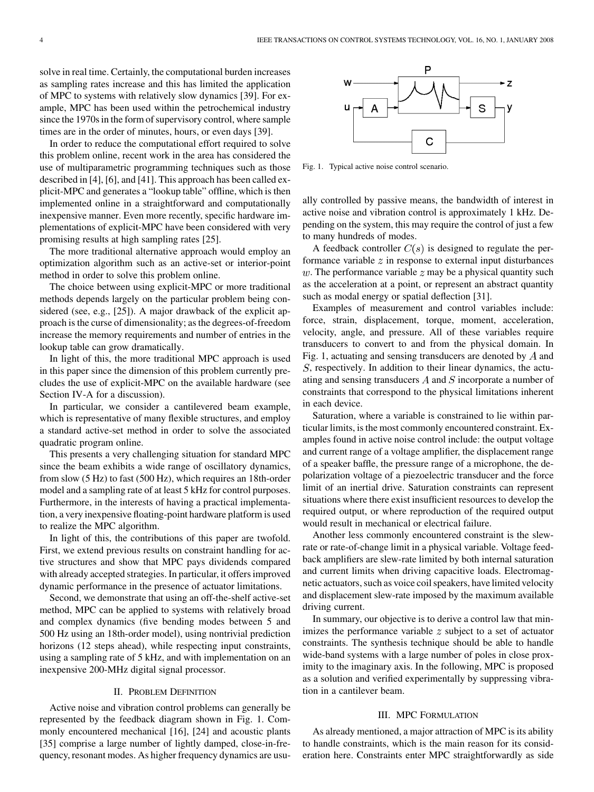solve in real time. Certainly, the computational burden increases as sampling rates increase and this has limited the application of MPC to systems with relatively slow dynamics [39]. For example, MPC has been used within the petrochemical industry since the 1970s in the form of supervisory control, where sample times are in the order of minutes, hours, or even days [39].

In order to reduce the computational effort required to solve this problem online, recent work in the area has considered the use of multiparametric programming techniques such as those described in [4], [6], and [41]. This approach has been called explicit-MPC and generates a "lookup table" offline, which is then implemented online in a straightforward and computationally inexpensive manner. Even more recently, specific hardware implementations of explicit-MPC have been considered with very promising results at high sampling rates [25].

The more traditional alternative approach would employ an optimization algorithm such as an active-set or interior-point method in order to solve this problem online.

The choice between using explicit-MPC or more traditional methods depends largely on the particular problem being considered (see, e.g., [25]). A major drawback of the explicit approach is the curse of dimensionality; as the degrees-of-freedom increase the memory requirements and number of entries in the lookup table can grow dramatically.

In light of this, the more traditional MPC approach is used in this paper since the dimension of this problem currently precludes the use of explicit-MPC on the available hardware (see Section IV-A for a discussion).

In particular, we consider a cantilevered beam example, which is representative of many flexible structures, and employ a standard active-set method in order to solve the associated quadratic program online.

This presents a very challenging situation for standard MPC since the beam exhibits a wide range of oscillatory dynamics, from slow (5 Hz) to fast (500 Hz), which requires an 18th-order model and a sampling rate of at least 5 kHz for control purposes. Furthermore, in the interests of having a practical implementation, a very inexpensive floating-point hardware platform is used to realize the MPC algorithm.

In light of this, the contributions of this paper are twofold. First, we extend previous results on constraint handling for active structures and show that MPC pays dividends compared with already accepted strategies. In particular, it offers improved dynamic performance in the presence of actuator limitations.

Second, we demonstrate that using an off-the-shelf active-set method, MPC can be applied to systems with relatively broad and complex dynamics (five bending modes between 5 and 500 Hz using an 18th-order model), using nontrivial prediction horizons (12 steps ahead), while respecting input constraints, using a sampling rate of 5 kHz, and with implementation on an inexpensive 200-MHz digital signal processor.

#### II. PROBLEM DEFINITION

Active noise and vibration control problems can generally be represented by the feedback diagram shown in Fig. 1. Commonly encountered mechanical [16], [24] and acoustic plants [35] comprise a large number of lightly damped, close-in-frequency, resonant modes. As higher frequency dynamics are usu-



Fig. 1. Typical active noise control scenario.

ally controlled by passive means, the bandwidth of interest in active noise and vibration control is approximately 1 kHz. Depending on the system, this may require the control of just a few to many hundreds of modes.

A feedback controller  $C(s)$  is designed to regulate the performance variable  $z$  in response to external input disturbances w. The performance variable  $z$  may be a physical quantity such as the acceleration at a point, or represent an abstract quantity such as modal energy or spatial deflection [31].

Examples of measurement and control variables include: force, strain, displacement, torque, moment, acceleration, velocity, angle, and pressure. All of these variables require transducers to convert to and from the physical domain. In Fig. 1, actuating and sensing transducers are denoted by  $A$  and  $S$ , respectively. In addition to their linear dynamics, the actuating and sensing transducers  $A$  and  $S$  incorporate a number of constraints that correspond to the physical limitations inherent in each device.

Saturation, where a variable is constrained to lie within particular limits, is the most commonly encountered constraint. Examples found in active noise control include: the output voltage and current range of a voltage amplifier, the displacement range of a speaker baffle, the pressure range of a microphone, the depolarization voltage of a piezoelectric transducer and the force limit of an inertial drive. Saturation constraints can represent situations where there exist insufficient resources to develop the required output, or where reproduction of the required output would result in mechanical or electrical failure.

Another less commonly encountered constraint is the slewrate or rate-of-change limit in a physical variable. Voltage feedback amplifiers are slew-rate limited by both internal saturation and current limits when driving capacitive loads. Electromagnetic actuators, such as voice coil speakers, have limited velocity and displacement slew-rate imposed by the maximum available driving current.

In summary, our objective is to derive a control law that minimizes the performance variable  $z$  subject to a set of actuator constraints. The synthesis technique should be able to handle wide-band systems with a large number of poles in close proximity to the imaginary axis. In the following, MPC is proposed as a solution and verified experimentally by suppressing vibration in a cantilever beam.

### III. MPC FORMULATION

As already mentioned, a major attraction of MPC is its ability to handle constraints, which is the main reason for its consideration here. Constraints enter MPC straightforwardly as side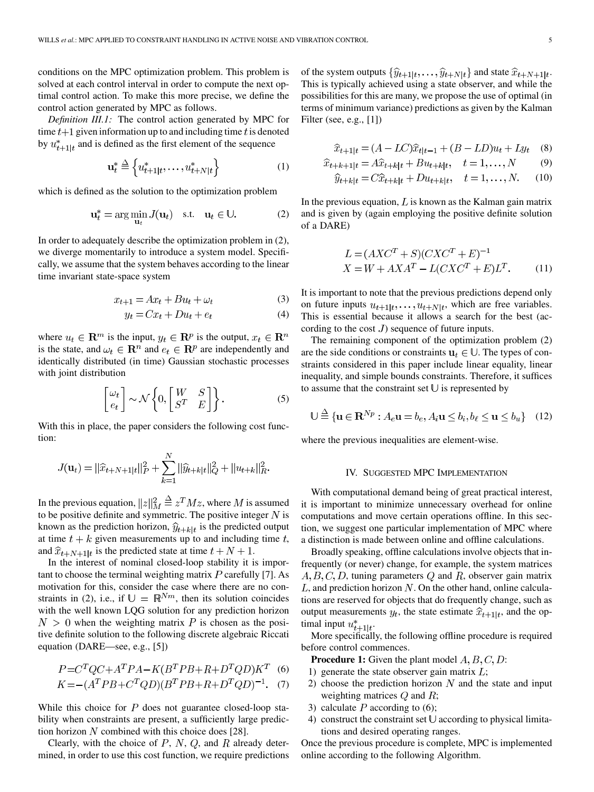conditions on the MPC optimization problem. This problem is solved at each control interval in order to compute the next optimal control action. To make this more precise, we define the control action generated by MPC as follows.

*Definition III.1:* The control action generated by MPC for time  $t+1$  given information up to and including time t is denoted by  $u_{t+1:t}^*$  and is defined as the first element of the sequence

$$
\mathbf{u}_t^* \stackrel{\Delta}{=} \left\{ u_{t+1|t}^*, \dots, u_{t+N|t}^* \right\} \tag{1}
$$

which is defined as the solution to the optimization problem

$$
\mathbf{u}_t^* = \arg\min_{\mathbf{u}_t} J(\mathbf{u}_t) \quad \text{s.t.} \quad \mathbf{u}_t \in \mathbb{U}. \tag{2}
$$

In order to adequately describe the optimization problem in (2), we diverge momentarily to introduce a system model. Specifically, we assume that the system behaves according to the linear time invariant state-space system

$$
x_{t+1} = Ax_t + Bu_t + \omega_t \tag{3}
$$

$$
y_t = Cx_t + Du_t + e_t \tag{4}
$$

where  $u_t \in \mathbb{R}^m$  is the input,  $y_t \in \mathbb{R}^p$  is the output,  $x_t \in \mathbb{R}^n$ is the state, and  $\omega_t \in \mathbb{R}^n$  and  $e_t \in \mathbb{R}^p$  are independently and identically distributed (in time) Gaussian stochastic processes with joint distribution

$$
\begin{bmatrix} \omega_t \\ e_t \end{bmatrix} \sim \mathcal{N} \left\{ 0, \begin{bmatrix} W & S \\ S^T & E \end{bmatrix} \right\}. \tag{5}
$$

With this in place, the paper considers the following cost function:

$$
J(\mathbf{u}_t) = ||\widehat{x}_{t+N+1|t}||_P^2 + \sum_{k=1}^N ||\widehat{y}_{t+k|t}||_Q^2 + ||u_{t+k}||_R^2.
$$

In the previous equation,  $||z||_M^2 \stackrel{\Delta}{=} z^T M z$ , where M is assumed to be positive definite and symmetric. The positive integer  $N$  is known as the prediction horizon,  $\hat{y}_{t+k|t}$  is the predicted output at time  $t + k$  given measurements up to and including time  $t$ , and  $\hat{x}_{t+N+1|t}$  is the predicted state at time  $t + N + 1$ .

In the interest of nominal closed-loop stability it is important to choose the terminal weighting matrix  $P$  carefully [7]. As motivation for this, consider the case where there are no constraints in (2), i.e., if  $\mathbb{U} = \mathbb{R}^{Nm}$ , then its solution coincides with the well known LQG solution for any prediction horizon  $N > 0$  when the weighting matrix P is chosen as the positive definite solution to the following discrete algebraic Riccati equation (DARE—see, e.g., [5])

$$
P = CTQC + ATPA - K(BTPB + R + DTQD)KT
$$
 (6)  
K = -(A<sup>T</sup>PB + C<sup>T</sup>QD)(B<sup>T</sup>PB + R + D<sup>T</sup>QD)<sup>-1</sup>. (7)

While this choice for  $P$  does not guarantee closed-loop stability when constraints are present, a sufficiently large prediction horizon  $N$  combined with this choice does [28].

Clearly, with the choice of  $P$ ,  $N$ ,  $Q$ , and  $R$  already determined, in order to use this cost function, we require predictions of the system outputs  $\{\widehat{y}_{t+1|t}, \ldots, \widehat{y}_{t+N|t}\}\$  and state  $\widehat{x}_{t+N+1|t}$ . This is typically achieved using a state observer, and while the possibilities for this are many, we propose the use of optimal (in terms of minimum variance) predictions as given by the Kalman Filter (see, e.g., [1])

$$
\hat{x}_{t+1|t} = (A - LC)\hat{x}_{t|t-1} + (B - LD)u_t + Ly_t
$$
 (8)

$$
\widehat{x}_{t+k+1|t} = A\widehat{x}_{t+k|t} + Bu_{t+k|t}, \quad t = 1, \dots, N \tag{9}
$$

$$
\hat{y}_{t+k|t} = C\hat{x}_{t+k|t} + Du_{t+k|t}, \quad t = 1, ..., N. \tag{10}
$$

In the previous equation,  $L$  is known as the Kalman gain matrix and is given by (again employing the positive definite solution of a DARE)

$$
L = (AXCT + S)(CXCT + E)-1
$$
  

$$
X = W + AXAT - L(CXCT + E)LT.
$$
 (11)

It is important to note that the previous predictions depend only on future inputs  $u_{t+1|t}, \ldots, u_{t+N|t}$ , which are free variables. This is essential because it allows a search for the best (according to the cost  $J$ ) sequence of future inputs.

The remaining component of the optimization problem (2) are the side conditions or constraints  $\mathbf{u}_t \in \mathbb{U}$ . The types of constraints considered in this paper include linear equality, linear inequality, and simple bounds constraints. Therefore, it suffices to assume that the constraint set  $\cup$  is represented by

$$
\mathbb{U} \stackrel{\Delta}{=} \{ \mathbf{u} \in \mathbf{R}^{Np} : A_e \mathbf{u} = b_e, A_i \mathbf{u} \le b_i, b_\ell \le \mathbf{u} \le b_u \} \quad (12)
$$

where the previous inequalities are element-wise.

## IV. SUGGESTED MPC IMPLEMENTATION

With computational demand being of great practical interest, it is important to minimize unnecessary overhead for online computations and move certain operations offline. In this section, we suggest one particular implementation of MPC where a distinction is made between online and offline calculations.

Broadly speaking, offline calculations involve objects that infrequently (or never) change, for example, the system matrices  $A, B, C, D$ , tuning parameters  $Q$  and  $R$ , observer gain matrix  $L$ , and prediction horizon  $N$ . On the other hand, online calculations are reserved for objects that do frequently change, such as output measurements  $y_t$ , the state estimate  $\hat{x}_{t+1|t}$ , and the optimal input  $u_{t+1|t}^*$ .

More specifically, the following offline procedure is required before control commences.

- **Procedure 1:** Given the plant model  $A, B, C, D$ :
- 1) generate the state observer gain matrix  $L$ ;
- 2) choose the prediction horizon  $N$  and the state and input weighting matrices  $Q$  and  $R$ ;
- 3) calculate  $P$  according to (6);
- 4) construct the constraint set  $\cup$  according to physical limitations and desired operating ranges.

Once the previous procedure is complete, MPC is implemented online according to the following Algorithm.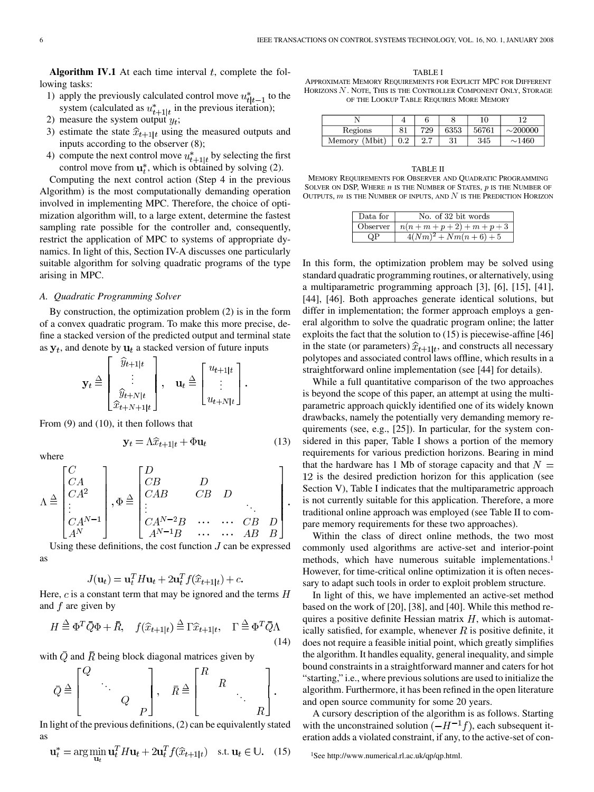**Algorithm IV.1** At each time interval  $t$ , complete the following tasks:

- 1) apply the previously calculated control move  $u_{t|t-1}^*$  to the system (calculated as  $u_{t+1|t}^*$  in the previous iteration);
- 2) measure the system output  $y_t$ ;
- 3) estimate the state  $\hat{x}_{t+1|t}$  using the measured outputs and inputs according to the observer (8);
- 4) compute the next control move  $u_{t+1|t}^*$  by selecting the first control move from  $\mathbf{u}_t^*$ , which is obtained by solving (2).

Computing the next control action (Step 4 in the previous Algorithm) is the most computationally demanding operation involved in implementing MPC. Therefore, the choice of optimization algorithm will, to a large extent, determine the fastest sampling rate possible for the controller and, consequently, restrict the application of MPC to systems of appropriate dynamics. In light of this, Section IV-A discusses one particularly suitable algorithm for solving quadratic programs of the type arising in MPC.

# *A. Quadratic Programming Solver*

By construction, the optimization problem (2) is in the form of a convex quadratic program. To make this more precise, define a stacked version of the predicted output and terminal state as  $y_t$ , and denote by  $u_t$  a stacked version of future inputs

$$
\mathbf{y}_t \stackrel{\Delta}{=} \begin{bmatrix} y_{t+1|t} \\ \vdots \\ \widehat{y}_{t+N|t} \\ \widehat{x}_{t+N+1|t} \end{bmatrix}, \quad \mathbf{u}_t \stackrel{\Delta}{=} \begin{bmatrix} u_{t+1|t} \\ \vdots \\ u_{t+N|t} \end{bmatrix}.
$$

From (9) and (10), it then follows that

$$
\mathbf{y}_t = \Lambda \widehat{x}_{t+1|t} + \Phi \mathbf{u}_t \tag{13}
$$

where

$$
\Lambda \triangleq \begin{bmatrix} C \\ CA \\ CA^2 \\ \vdots \\ CA^{N-1} \\ A^N \end{bmatrix}, \Phi \triangleq \begin{bmatrix} D \\ CB & D \\ CAB & CB & D \\ \vdots \\ CA^{N-2}B & \cdots & \cdots & CB & D \\ AA^{N-1}B & \cdots & \cdots & AB & B \end{bmatrix}
$$

Using these definitions, the cost function  $J$  can be expressed as

$$
J(\mathbf{u}_t) = \mathbf{u}_t^T H \mathbf{u}_t + 2\mathbf{u}_t^T f(\widehat{x}_{t+1|t}) + c.
$$

Here,  $c$  is a constant term that may be ignored and the terms  $H$ and  $f$  are given by

$$
H \stackrel{\Delta}{=} \Phi^T \bar{Q} \Phi + \bar{R}, \quad f(\hat{x}_{t+1|t}) \stackrel{\Delta}{=} \Gamma \hat{x}_{t+1|t}, \quad \Gamma \stackrel{\Delta}{=} \Phi^T \bar{Q} \Lambda
$$
\n(14)

with  $\overline{Q}$  and  $\overline{R}$  being block diagonal matrices given by

$$
\bar{Q} \triangleq \begin{bmatrix} Q & & \\ & \ddots & \\ & & Q & \\ & & & P \end{bmatrix}, \quad \bar{R} \triangleq \begin{bmatrix} R & & \\ & R & \\ & & \ddots & \\ & & & R \end{bmatrix}.
$$

In light of the previous definitions, (2) can be equivalently stated as

$$
\mathbf{u}_t^* = \arg\min_{\mathbf{u}_t} \mathbf{u}_t^T H \mathbf{u}_t + 2\mathbf{u}_t^T f(\widehat{x}_{t+1|t}) \quad \text{s.t. } \mathbf{u}_t \in \mathbb{U}. \tag{15}
$$

TABLE I APPROXIMATE MEMORY REQUIREMENTS FOR EXPLICIT MPC FOR DIFFERENT HORIZONS N. NOTE, THIS IS THE CONTROLLER COMPONENT ONLY, STORAGE OF THE LOOKUP TABLE REQUIRES MORE MEMORY

|                 |     |                |          | 10    |                |
|-----------------|-----|----------------|----------|-------|----------------|
| Regions         | 81  | 729            | 6353     | 56761 | ${\sim}200000$ |
| [Mbit<br>Memory | റ റ | $\overline{ }$ | 21<br>ാച | 345   | $\sim$ 1460    |

TABLE II MEMORY REQUIREMENTS FOR OBSERVER AND QUADRATIC PROGRAMMING SOLVER ON DSP, WHERE  $n$  is the NUMBER OF STATES,  $p$  is the NUMBER OF OUTPUTS,  $m$  is the NUMBER OF INPUTS, AND  $N$  is the Prediction Horizon

| Data for | No. of 32 bit words                   |
|----------|---------------------------------------|
|          | Observer $\mid n(n+m+p+2)+m+p+3 \mid$ |
|          | $4(Nm)^2 + Nm(n+6) + 5$               |

In this form, the optimization problem may be solved using standard quadratic programming routines, or alternatively, using a multiparametric programming approach [3], [6], [15], [41], [44], [46]. Both approaches generate identical solutions, but differ in implementation; the former approach employs a general algorithm to solve the quadratic program online; the latter exploits the fact that the solution to (15) is piecewise-affine [46] in the state (or parameters)  $\hat{x}_{t+1|t}$ , and constructs all necessary polytopes and associated control laws offline, which results in a straightforward online implementation (see [44] for details).

While a full quantitative comparison of the two approaches is beyond the scope of this paper, an attempt at using the multiparametric approach quickly identified one of its widely known drawbacks, namely the potentially very demanding memory requirements (see, e.g., [25]). In particular, for the system considered in this paper, Table I shows a portion of the memory requirements for various prediction horizons. Bearing in mind that the hardware has 1 Mb of storage capacity and that  $N =$  $12$  is the desired prediction horizon for this application (see Section V), Table I indicates that the multiparametric approach is not currently suitable for this application. Therefore, a more traditional online approach was employed (see Table II to compare memory requirements for these two approaches).

Within the class of direct online methods, the two most commonly used algorithms are active-set and interior-point methods, which have numerous suitable implementations.1 However, for time-critical online optimization it is often necessary to adapt such tools in order to exploit problem structure.

In light of this, we have implemented an active-set method based on the work of [20], [38], and [40]. While this method requires a positive definite Hessian matrix  $H$ , which is automatically satisfied, for example, whenever  $R$  is positive definite, it does not require a feasible initial point, which greatly simplifies the algorithm. It handles equality, general inequality, and simple bound constraints in a straightforward manner and caters for hot "starting," i.e., where previous solutions are used to initialize the algorithm. Furthermore, it has been refined in the open literature and open source community for some 20 years.

A cursory description of the algorithm is as follows. Starting with the unconstrained solution  $(-H^{-1}f)$ , each subsequent iteration adds a violated constraint, if any, to the active-set of con-

<sup>1</sup>See http://www.numerical.rl.ac.uk/qp/qp.html.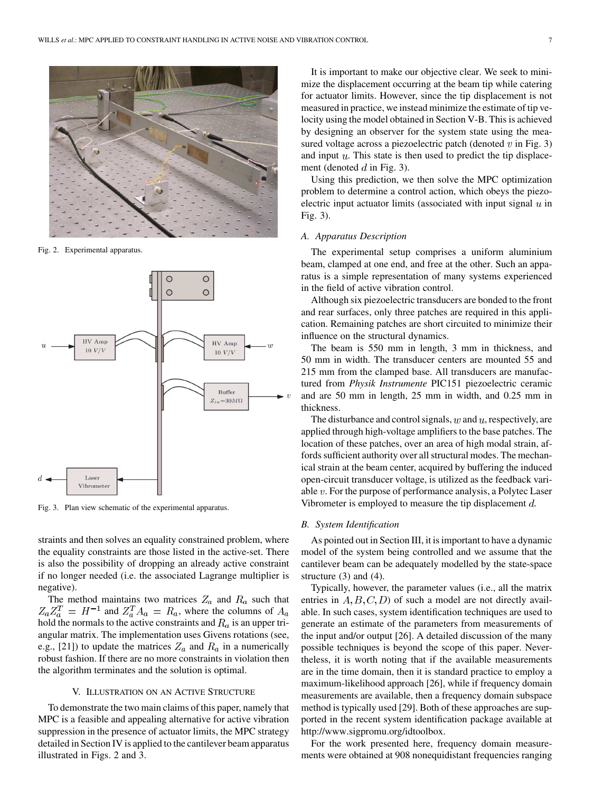

Fig. 2. Experimental apparatus.



Fig. 3. Plan view schematic of the experimental apparatus.

straints and then solves an equality constrained problem, where the equality constraints are those listed in the active-set. There is also the possibility of dropping an already active constraint if no longer needed (i.e. the associated Lagrange multiplier is negative).

The method maintains two matrices  $Z_a$  and  $R_a$  such that  $Z_a Z_a^T = H^{-1}$  and  $Z_a^T A_a = R_a$ , where the columns of  $A_a$ hold the normals to the active constraints and  $R_a$  is an upper triangular matrix. The implementation uses Givens rotations (see, e.g., [21]) to update the matrices  $Z_a$  and  $R_a$  in a numerically robust fashion. If there are no more constraints in violation then the algorithm terminates and the solution is optimal.

### V. ILLUSTRATION ON AN ACTIVE STRUCTURE

To demonstrate the two main claims of this paper, namely that MPC is a feasible and appealing alternative for active vibration suppression in the presence of actuator limits, the MPC strategy detailed in Section IV is applied to the cantilever beam apparatus illustrated in Figs. 2 and 3.

It is important to make our objective clear. We seek to minimize the displacement occurring at the beam tip while catering for actuator limits. However, since the tip displacement is not measured in practice, we instead minimize the estimate of tip velocity using the model obtained in Section V-B. This is achieved by designing an observer for the system state using the measured voltage across a piezoelectric patch (denoted  $v$  in Fig. 3) and input  $u$ . This state is then used to predict the tip displacement (denoted  $d$  in Fig. 3).

Using this prediction, we then solve the MPC optimization problem to determine a control action, which obeys the piezoelectric input actuator limits (associated with input signal  $u$  in Fig. 3).

#### *A. Apparatus Description*

The experimental setup comprises a uniform aluminium beam, clamped at one end, and free at the other. Such an apparatus is a simple representation of many systems experienced in the field of active vibration control.

Although six piezoelectric transducers are bonded to the front and rear surfaces, only three patches are required in this application. Remaining patches are short circuited to minimize their influence on the structural dynamics.

The beam is 550 mm in length, 3 mm in thickness, and 50 mm in width. The transducer centers are mounted 55 and 215 mm from the clamped base. All transducers are manufactured from *Physik Instrumente* PIC151 piezoelectric ceramic and are 50 mm in length, 25 mm in width, and 0.25 mm in thickness.

The disturbance and control signals,  $w$  and  $u$ , respectively, are applied through high-voltage amplifiers to the base patches. The location of these patches, over an area of high modal strain, affords sufficient authority over all structural modes. The mechanical strain at the beam center, acquired by buffering the induced open-circuit transducer voltage, is utilized as the feedback variable  $v$ . For the purpose of performance analysis, a Polytec Laser Vibrometer is employed to measure the tip displacement  $d$ .

#### *B. System Identification*

As pointed out in Section III, it is important to have a dynamic model of the system being controlled and we assume that the cantilever beam can be adequately modelled by the state-space structure (3) and (4).

Typically, however, the parameter values (i.e., all the matrix entries in  $A, B, C, D$  of such a model are not directly available. In such cases, system identification techniques are used to generate an estimate of the parameters from measurements of the input and/or output [26]. A detailed discussion of the many possible techniques is beyond the scope of this paper. Nevertheless, it is worth noting that if the available measurements are in the time domain, then it is standard practice to employ a maximum-likelihood approach [26], while if frequency domain measurements are available, then a frequency domain subspace method is typically used [29]. Both of these approaches are supported in the recent system identification package available at http://www.sigpromu.org/idtoolbox.

For the work presented here, frequency domain measurements were obtained at 908 nonequidistant frequencies ranging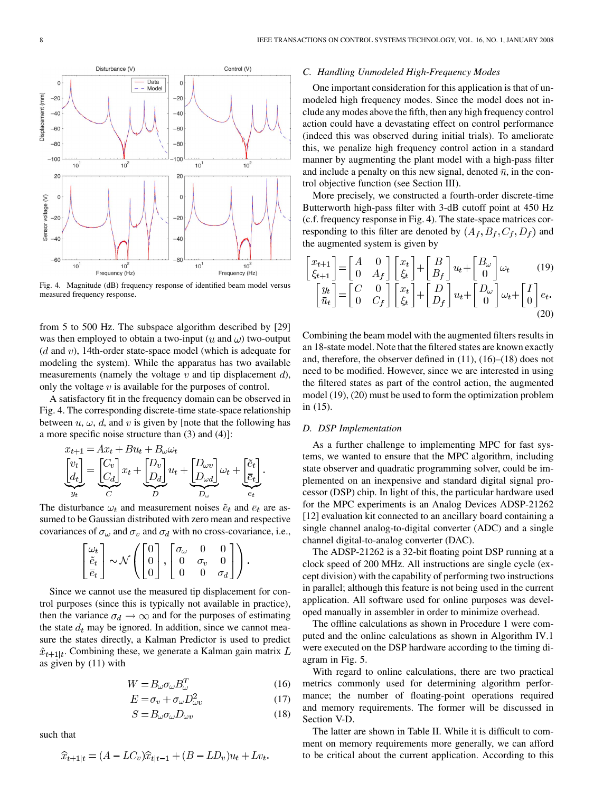

Fig. 4. Magnitude (dB) frequency response of identified beam model versus measured frequency response.

from 5 to 500 Hz. The subspace algorithm described by [29] was then employed to obtain a two-input  $(u \text{ and } \omega)$  two-output  $(d \text{ and } v)$ , 14th-order state-space model (which is adequate for modeling the system). While the apparatus has two available measurements (namely the voltage  $v$  and tip displacement  $d$ ), only the voltage  $v$  is available for the purposes of control.

A satisfactory fit in the frequency domain can be observed in Fig. 4. The corresponding discrete-time state-space relationship between  $u, \omega, d$ , and v is given by [note that the following has a more specific noise structure than (3) and (4)]:

$$
x_{t+1} = Ax_t + Bu_t + B_{\omega}\omega_t
$$
  
\n
$$
\underbrace{\begin{bmatrix} v_t \\ d_t \end{bmatrix}}_{y_t} = \underbrace{\begin{bmatrix} C_v \\ C_d \end{bmatrix}}_{C} x_t + \underbrace{\begin{bmatrix} D_v \\ D_d \end{bmatrix}}_{D} u_t + \underbrace{\begin{bmatrix} D_{\omega v} \\ D_{\omega d} \end{bmatrix}}_{D_{\omega}} \omega_t + \underbrace{\begin{bmatrix} \tilde{e}_t \\ \bar{e}_t \end{bmatrix}}_{e_t}.
$$

The disturbance  $\omega_t$  and measurement noises  $\tilde{e}_t$  and  $\bar{e}_t$  are assumed to be Gaussian distributed with zero mean and respective covariances of  $\sigma_{\omega}$  and  $\sigma_{v}$  and  $\sigma_{d}$  with no cross-covariance, i.e.,

 $\mathcal{L} = \mathcal{L} = \mathcal{L}$ 

$$
\begin{bmatrix} \omega_t \\ \tilde{e}_t \\ \bar{e}_t \end{bmatrix} \sim \mathcal{N} \left( \begin{bmatrix} 0 \\ 0 \\ 0 \end{bmatrix}, \begin{bmatrix} \sigma_\omega & 0 & 0 \\ 0 & \sigma_v & 0 \\ 0 & 0 & \sigma_d \end{bmatrix} \right).
$$

Since we cannot use the measured tip displacement for control purposes (since this is typically not available in practice), then the variance  $\sigma_d \rightarrow \infty$  and for the purposes of estimating the state  $d_t$  may be ignored. In addition, since we cannot measure the states directly, a Kalman Predictor is used to predict  $\hat{x}_{t+1|t}$ . Combining these, we generate a Kalman gain matrix L as given by (11) with

$$
W = B_{\omega} \sigma_{\omega} B_{\omega}^T \tag{16}
$$

$$
E = \sigma_v + \sigma_\omega D_{\omega v}^2 \tag{17}
$$

$$
S = B_{\omega}\sigma_{\omega}D_{\omega v} \tag{18}
$$

such that

 $\sim$   $\sim$ 

$$
\widehat{x}_{t+1|t} = (A - LC_v)\widehat{x}_{t|t-1} + (B - LD_v)u_t + Lv_t.
$$

# *C. Handling Unmodeled High-Frequency Modes*

One important consideration for this application is that of unmodeled high frequency modes. Since the model does not include any modes above the fifth, then any high frequency control action could have a devastating effect on control performance (indeed this was observed during initial trials). To ameliorate this, we penalize high frequency control action in a standard manner by augmenting the plant model with a high-pass filter and include a penalty on this new signal, denoted  $\bar{u}$ , in the control objective function (see Section III).

More precisely, we constructed a fourth-order discrete-time Butterworth high-pass filter with 3-dB cutoff point at 450 Hz (c.f. frequency response in Fig. 4). The state-space matrices corresponding to this filter are denoted by  $(A_f, B_f, C_f, D_f)$  and the augmented system is given by

$$
\begin{bmatrix} x_{t+1} \\ \xi_{t+1} \end{bmatrix} = \begin{bmatrix} A & 0 \\ 0 & A_f \end{bmatrix} \begin{bmatrix} x_t \\ \xi_t \end{bmatrix} + \begin{bmatrix} B \\ B_f \end{bmatrix} u_t + \begin{bmatrix} B_\omega \\ 0 \end{bmatrix} \omega_t \qquad (19)
$$

$$
\begin{bmatrix} y_t \\ \overline{u}_t \end{bmatrix} = \begin{bmatrix} C & 0 \\ 0 & C_f \end{bmatrix} \begin{bmatrix} x_t \\ \xi_t \end{bmatrix} + \begin{bmatrix} D \\ D_f \end{bmatrix} u_t + \begin{bmatrix} D_\omega \\ 0 \end{bmatrix} \omega_t + \begin{bmatrix} I \\ 0 \end{bmatrix} e_t.
$$
(20)

Combining the beam model with the augmented filters results in an 18-state model. Note that the filtered states are known exactly and, therefore, the observer defined in (11), (16)–(18) does not need to be modified. However, since we are interested in using the filtered states as part of the control action, the augmented model (19), (20) must be used to form the optimization problem in (15).

# *D. DSP Implementation*

As a further challenge to implementing MPC for fast systems, we wanted to ensure that the MPC algorithm, including state observer and quadratic programming solver, could be implemented on an inexpensive and standard digital signal processor (DSP) chip. In light of this, the particular hardware used for the MPC experiments is an Analog Devices ADSP-21262 [12] evaluation kit connected to an ancillary board containing a single channel analog-to-digital converter (ADC) and a single channel digital-to-analog converter (DAC).

The ADSP-21262 is a 32-bit floating point DSP running at a clock speed of 200 MHz. All instructions are single cycle (except division) with the capability of performing two instructions in parallel; although this feature is not being used in the current application. All software used for online purposes was developed manually in assembler in order to minimize overhead.

The offline calculations as shown in Procedure 1 were computed and the online calculations as shown in Algorithm IV.1 were executed on the DSP hardware according to the timing diagram in Fig. 5.

With regard to online calculations, there are two practical metrics commonly used for determining algorithm performance; the number of floating-point operations required and memory requirements. The former will be discussed in Section V-D.

The latter are shown in Table II. While it is difficult to comment on memory requirements more generally, we can afford to be critical about the current application. According to this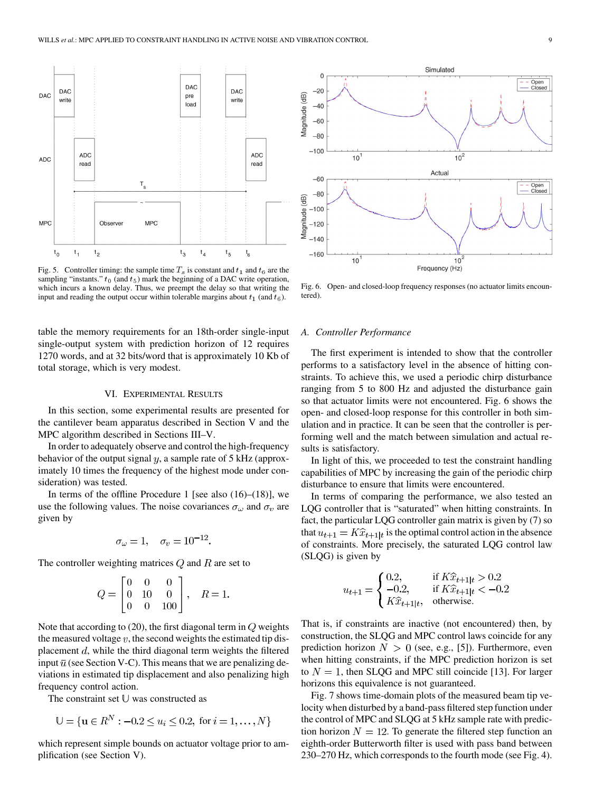

Fig. 5. Controller timing: the sample time  $T_s$  is constant and  $t_1$  and  $t_6$  are the sampling "instants."  $t_0$  (and  $t_5$ ) mark the beginning of a DAC write operation, which incurs a known delay. Thus, we preempt the delay so that writing the input and reading the output occur within tolerable margins about  $t_1$  (and  $t_6$ ).

table the memory requirements for an 18th-order single-input single-output system with prediction horizon of 12 requires 1270 words, and at 32 bits/word that is approximately 10 Kb of total storage, which is very modest.

### VI. EXPERIMENTAL RESULTS

In this section, some experimental results are presented for the cantilever beam apparatus described in Section V and the MPC algorithm described in Sections III–V.

In order to adequately observe and control the high-frequency behavior of the output signal  $y$ , a sample rate of 5 kHz (approximately 10 times the frequency of the highest mode under consideration) was tested.

In terms of the offline Procedure 1 [see also  $(16)$ – $(18)$ ], we use the following values. The noise covariances  $\sigma_{\omega}$  and  $\sigma_{v}$  are given by

$$
\sigma_{\omega} = 1, \quad \sigma_v = 10^{-12}.
$$

The controller weighting matrices  $Q$  and  $R$  are set to

$$
Q = \begin{bmatrix} 0 & 0 & 0 \\ 0 & 10 & 0 \\ 0 & 0 & 100 \end{bmatrix}, \quad R = 1
$$

Note that according to  $(20)$ , the first diagonal term in  $Q$  weights the measured voltage  $v$ , the second weights the estimated tip displacement  $d$ , while the third diagonal term weights the filtered input  $\bar{u}$  (see Section V-C). This means that we are penalizing deviations in estimated tip displacement and also penalizing high frequency control action.

The constraint set  $\cup$  was constructed as

$$
\mathbb{U} = \{ \mathbf{u} \in R^N : -0.2 \le u_i \le 0.2, \text{ for } i = 1, \dots, N \}
$$

which represent simple bounds on actuator voltage prior to amplification (see Section V).



Fig. 6. Open- and closed-loop frequency responses (no actuator limits encountered).

# *A. Controller Performance*

The first experiment is intended to show that the controller performs to a satisfactory level in the absence of hitting constraints. To achieve this, we used a periodic chirp disturbance ranging from 5 to 800 Hz and adjusted the disturbance gain so that actuator limits were not encountered. Fig. 6 shows the open- and closed-loop response for this controller in both simulation and in practice. It can be seen that the controller is performing well and the match between simulation and actual results is satisfactory.

In light of this, we proceeded to test the constraint handling capabilities of MPC by increasing the gain of the periodic chirp disturbance to ensure that limits were encountered.

In terms of comparing the performance, we also tested an LQG controller that is "saturated" when hitting constraints. In fact, the particular LQG controller gain matrix is given by (7) so that  $u_{t+1} = K\hat{x}_{t+1|t}$  is the optimal control action in the absence of constraints. More precisely, the saturated LQG control law (SLQG) is given by

$$
u_{t+1} = \begin{cases} 0.2, & \text{if } K\hat{x}_{t+1|t} > 0.2\\ -0.2, & \text{if } K\hat{x}_{t+1|t} < -0.2\\ K\hat{x}_{t+1|t}, & \text{otherwise.} \end{cases}
$$

That is, if constraints are inactive (not encountered) then, by construction, the SLQG and MPC control laws coincide for any prediction horizon  $N > 0$  (see, e.g., [5]). Furthermore, even when hitting constraints, if the MPC prediction horizon is set to  $N = 1$ , then SLQG and MPC still coincide [13]. For larger horizons this equivalence is not guaranteed.

Fig. 7 shows time-domain plots of the measured beam tip velocity when disturbed by a band-pass filtered step function under the control of MPC and SLQG at 5 kHz sample rate with prediction horizon  $N = 12$ . To generate the filtered step function an eighth-order Butterworth filter is used with pass band between 230–270 Hz, which corresponds to the fourth mode (see Fig. 4).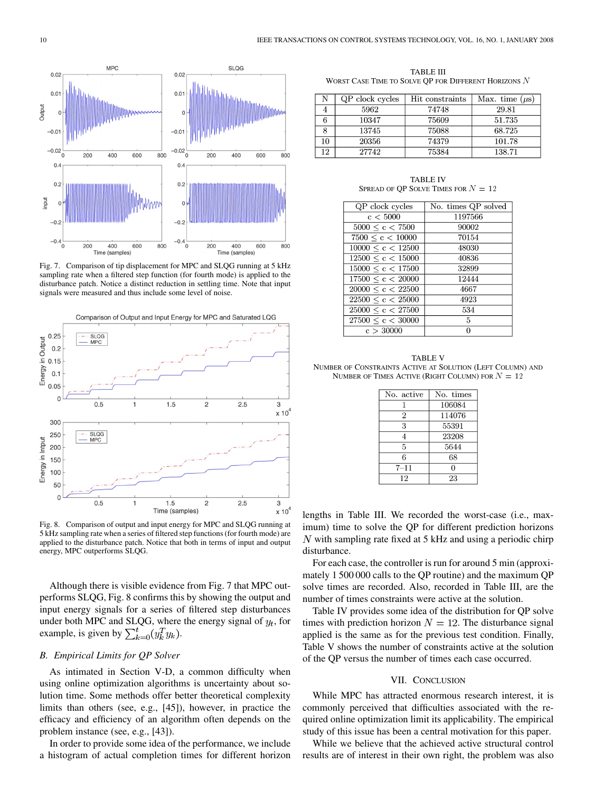

Fig. 7. Comparison of tip displacement for MPC and SLQG running at 5 kHz sampling rate when a filtered step function (for fourth mode) is applied to the disturbance patch. Notice a distinct reduction in settling time. Note that input signals were measured and thus include some level of noise.



Fig. 8. Comparison of output and input energy for MPC and SLQG running at 5 kHz sampling rate when a series of filtered step functions (for fourth mode) are applied to the disturbance patch. Notice that both in terms of input and output energy, MPC outperforms SLQG.

Although there is visible evidence from Fig. 7 that MPC outperforms SLQG, Fig. 8 confirms this by showing the output and input energy signals for a series of filtered step disturbances under both MPC and SLQG, where the energy signal of  $y_t$ , for example, is given by  $\sum_{k=0}^{t} (y_k^T y_k)$ .

# *B. Empirical Limits for QP Solver*

As intimated in Section V-D, a common difficulty when using online optimization algorithms is uncertainty about solution time. Some methods offer better theoretical complexity limits than others (see, e.g., [45]), however, in practice the efficacy and efficiency of an algorithm often depends on the problem instance (see, e.g., [43]).

In order to provide some idea of the performance, we include a histogram of actual completion times for different horizon

TABLE III WORST CASE TIME TO SOLVE QP FOR DIFFERENT HORIZONS  $\cal N$ 

| QP clock cycles | Hit constraints | Max. time $(\mu s)$ |
|-----------------|-----------------|---------------------|
| 5962            | 74748           | 29.81               |
| 10347           | 75609           | 51.735              |
| 13745           | 75088           | 68.725              |
| 20356           | 74379           | 101.78              |
| 27742           | 75384           | 138.71              |

TABLE IV SPREAD OF OP SOLVE TIMES FOR  $N = 12$ 

| QP clock cycles        | No. times QP solved |
|------------------------|---------------------|
| c < 5000               | 1197566             |
| 5000 < c < 7500        | 90002               |
| 7500 < c < 10000       | 70154               |
| 10000 < c < 12500      | 48030               |
| $12500 \leq c < 15000$ | 40836               |
| 15000 < c < 17500      | 32899               |
| $17500 \leq c < 20000$ | 12444               |
| 20000 < c < 22500      | 4667                |
| 22500 < c < 25000      | 4923                |
| 25000 < c < 27500      | 534                 |
| 27500 < c < 30000      | 5                   |
| c > 30000              |                     |

TABLE V NUMBER OF CONSTRAINTS ACTIVE AT SOLUTION (LEFT COLUMN) AND NUMBER OF TIMES ACTIVE (RIGHT COLUMN) FOR  $N=12$ 

| No. active | No. times |
|------------|-----------|
| 1          | 106084    |
| 2          | 114076    |
| 3          | 55391     |
| 4          | 23208     |
| 5          | 5644      |
| 6          | 68        |
| $7 - 11$   | N         |
| 12         | 23        |

lengths in Table III. We recorded the worst-case (i.e., maximum) time to solve the QP for different prediction horizons  $N$  with sampling rate fixed at 5 kHz and using a periodic chirp disturbance.

For each case, the controller is run for around 5 min (approximately 1 500 000 calls to the QP routine) and the maximum QP solve times are recorded. Also, recorded in Table III, are the number of times constraints were active at the solution.

Table IV provides some idea of the distribution for QP solve times with prediction horizon  $N = 12$ . The disturbance signal applied is the same as for the previous test condition. Finally, Table V shows the number of constraints active at the solution of the QP versus the number of times each case occurred.

#### VII. CONCLUSION

While MPC has attracted enormous research interest, it is commonly perceived that difficulties associated with the required online optimization limit its applicability. The empirical study of this issue has been a central motivation for this paper.

While we believe that the achieved active structural control results are of interest in their own right, the problem was also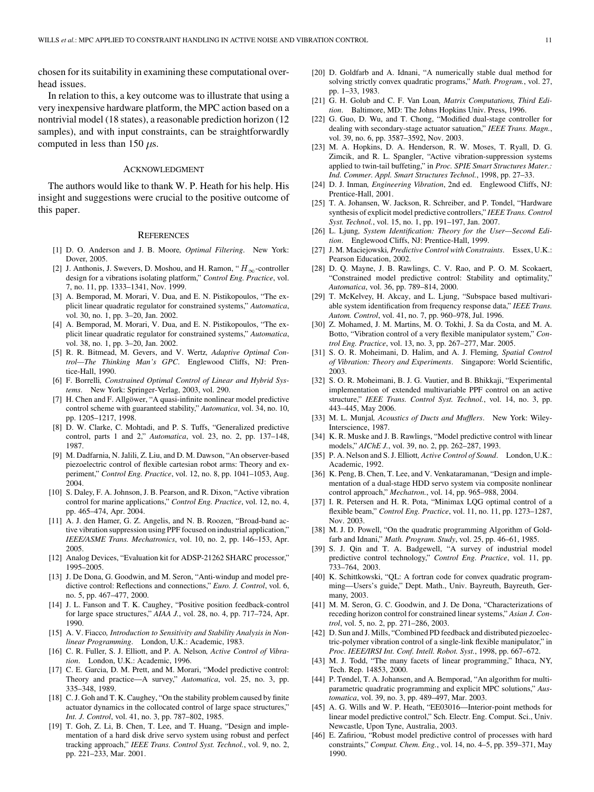chosen for its suitability in examining these computational overhead issues.

In relation to this, a key outcome was to illustrate that using a very inexpensive hardware platform, the MPC action based on a nontrivial model (18 states), a reasonable prediction horizon (12 samples), and with input constraints, can be straightforwardly computed in less than 150  $\mu$ s.

# ACKNOWLEDGMENT

The authors would like to thank W. P. Heath for his help. His insight and suggestions were crucial to the positive outcome of this paper.

#### **REFERENCES**

- [1] D. O. Anderson and J. B. Moore*, Optimal Filtering*. New York: Dover, 2005.
- [2] J. Anthonis, J. Swevers, D. Moshou, and H. Ramon, " $H_{\infty}$ -controller design for a vibrations isolating platform," *Control Eng. Practice*, vol. 7, no. 11, pp. 1333–1341, Nov. 1999.
- [3] A. Bemporad, M. Morari, V. Dua, and E. N. Pistikopoulos, "The explicit linear quadratic regulator for constrained systems," *Automatica*, vol. 30, no. 1, pp. 3–20, Jan. 2002.
- [4] A. Bemporad, M. Morari, V. Dua, and E. N. Pistikopoulos, "The explicit linear quadratic regulator for constrained systems," *Automatica*, vol. 38, no. 1, pp. 3–20, Jan. 2002.
- [5] R. R. Bitmead, M. Gevers, and V. Wertz*, Adaptive Optimal Control—The Thinking Man's GPC*. Englewood Cliffs, NJ: Prentice-Hall, 1990.
- [6] F. Borrelli*, Constrained Optimal Control of Linear and Hybrid Systems*. New York: Springer-Verlag, 2003, vol. 290.
- [7] H. Chen and F. Allgöwer, "A quasi-infinite nonlinear model predictive control scheme with guaranteed stability," *Automatica*, vol. 34, no. 10, pp. 1205–1217, 1998.
- [8] D. W. Clarke, C. Mohtadi, and P. S. Tuffs, "Generalized predictive control, parts 1 and 2," *Automatica*, vol. 23, no. 2, pp. 137–148, 1987.
- [9] M. Dadfarnia, N. Jalili, Z. Liu, and D. M. Dawson, "An observer-based piezoelectric control of flexible cartesian robot arms: Theory and experiment," *Control Eng. Practice*, vol. 12, no. 8, pp. 1041–1053, Aug. 2004.
- [10] S. Daley, F. A. Johnson, J. B. Pearson, and R. Dixon, "Active vibration control for marine applications," *Control Eng. Practice*, vol. 12, no. 4, pp. 465–474, Apr. 2004.
- [11] A. J. den Hamer, G. Z. Angelis, and N. B. Roozen, "Broad-band active vibration suppression using PPF focused on industrial application," *IEEE/ASME Trans. Mechatronics*, vol. 10, no. 2, pp. 146–153, Apr. 2005.
- [12] Analog Devices, "Evaluation kit for ADSP-21262 SHARC processor," 1995–2005.
- [13] J. De Dona, G. Goodwin, and M. Seron, "Anti-windup and model predictive control: Reflections and connections," *Euro. J. Control*, vol. 6, no. 5, pp. 467–477, 2000.
- [14] J. L. Fanson and T. K. Caughey, "Positive position feedback-control for large space structures," *AIAA J.*, vol. 28, no. 4, pp. 717–724, Apr. 1990.
- [15] A. V. Fiacco*, Introduction to Sensitivity and Stability Analysis in Nonlinear Programming*. London, U.K.: Academic, 1983.
- [16] C. R. Fuller, S. J. Elliott, and P. A. Nelson, *Active Control of Vibration*. London, U.K.: Academic, 1996.
- [17] C. E. Garcia, D. M. Prett, and M. Morari, "Model predictive control: Theory and practice—A survey," *Automatica*, vol. 25, no. 3, pp. 335–348, 1989.
- [18] C. J. Goh and T. K. Caughey, "On the stability problem caused by finite actuator dynamics in the collocated control of large space structures," *Int. J. Control*, vol. 41, no. 3, pp. 787–802, 1985.
- [19] T. Goh, Z. Li, B. Chen, T. Lee, and T. Huang, "Design and implementation of a hard disk drive servo system using robust and perfect tracking approach," *IEEE Trans. Control Syst. Technol.*, vol. 9, no. 2, pp. 221–233, Mar. 2001.
- [20] D. Goldfarb and A. Idnani, "A numerically stable dual method for solving strictly convex quadratic programs," *Math. Program.*, vol. 27, pp. 1–33, 1983.
- [21] G. H. Golub and C. F. Van Loan*, Matrix Computations, Third Edition*. Baltimore, MD: The Johns Hopkins Univ. Press, 1996.
- [22] G. Guo, D. Wu, and T. Chong, "Modified dual-stage controller for dealing with secondary-stage actuator satuation," *IEEE Trans. Magn.*, vol. 39, no. 6, pp. 3587–3592, Nov. 2003.
- [23] M. A. Hopkins, D. A. Henderson, R. W. Moses, T. Ryall, D. G. Zimcik, and R. L. Spangler, "Active vibration-suppression systems applied to twin-tail buffeting," in *Proc. SPIE Smart Structures Mater.: Ind. Commer. Appl. Smart Structures Technol.*, 1998, pp. 27–33.
- [24] D. J. Inman*, Engineering Vibration*, 2nd ed. Englewood Cliffs, NJ: Prentice-Hall, 2001.
- [25] T. A. Johansen, W. Jackson, R. Schreiber, and P. Tondel, "Hardware synthesis of explicit model predictive controllers," *IEEE Trans. Control Syst. Technol.*, vol. 15, no. 1, pp. 191–197, Jan. 2007.
- [26] L. Ljung*, System Identification: Theory for the User—Second Edition*. Englewood Cliffs, NJ: Prentice-Hall, 1999.
- [27] J. M. Maciejowski*, Predictive Control with Constraints*. Essex, U.K.: Pearson Education, 2002.
- [28] D. Q. Mayne, J. B. Rawlings, C. V. Rao, and P. O. M. Scokaert, "Constrained model predictive control: Stability and optimality," *Automatica*, vol. 36, pp. 789–814, 2000.
- [29] T. McKelvey, H. Akcay, and L. Ljung, "Subspace based multivariable system identification from frequency response data," *IEEE Trans. Autom. Control*, vol. 41, no. 7, pp. 960–978, Jul. 1996.
- [30] Z. Mohamed, J. M. Martins, M. O. Tokhi, J. Sa da Costa, and M. A. Botto, "Vibration control of a very flexible manipulator system," *Control Eng. Practice*, vol. 13, no. 3, pp. 267–277, Mar. 2005.
- [31] S. O. R. Moheimani, D. Halim, and A. J. Fleming*, Spatial Control of Vibration: Theory and Experiments*. Singapore: World Scientific, 2003.
- [32] S. O. R. Moheimani, B. J. G. Vautier, and B. Bhikkaji, "Experimental implementation of extended multivariable PPF control on an active structure," *IEEE Trans. Control Syst. Technol.*, vol. 14, no. 3, pp. 443–445, May 2006.
- [33] M. L. Munjal*, Acoustics of Ducts and Mufflers*. New York: Wiley-Interscience, 1987.
- [34] K. R. Muske and J. B. Rawlings, "Model predictive control with linear models," *AIChE J.*, vol. 39, no. 2, pp. 262–287, 1993.
- [35] P. A. Nelson and S. J. Elliott*, Active Control of Sound*. London, U.K.: Academic, 1992.
- [36] K. Peng, B. Chen, T. Lee, and V. Venkataramanan, "Design and implementation of a dual-stage HDD servo system via composite nonlinear control approach," *Mechatron.*, vol. 14, pp. 965–988, 2004.
- [37] I. R. Petersen and H. R. Pota, "Minimax LQG optimal control of a flexible beam," *Control Eng. Practice*, vol. 11, no. 11, pp. 1273–1287, Nov. 2003.
- [38] M. J. D. Powell, "On the quadratic programming Algorithm of Goldfarb and Idnani," *Math. Program. Study*, vol. 25, pp. 46–61, 1985.
- [39] S. J. Qin and T. A. Badgewell, "A survey of industrial model predictive control technology," *Control Eng. Practice*, vol. 11, pp. 733–764, 2003.
- [40] K. Schittkowski, "QL: A fortran code for convex quadratic programming—Users's guide," Dept. Math., Univ. Bayreuth, Bayreuth, Germany, 2003.
- [41] M. M. Seron, G. C. Goodwin, and J. De Dona, "Characterizations of receding horizon control for constrained linear systems," *Asian J. Control*, vol. 5, no. 2, pp. 271–286, 2003.
- [42] D. Sun and J. Mills, "Combined PD feedback and distributed piezoelectric-polymer vibration control of a single-link flexible manipulator," in *Proc. IEEE/IRSI Int. Conf. Intell. Robot. Syst.*, 1998, pp. 667–672.
- [43] M. J. Todd, "The many facets of linear programming," Ithaca, NY, Tech. Rep. 14853, 2000.
- [44] P. Tøndel, T. A. Johansen, and A. Bemporad, "An algorithm for multiparametric quadratic programming and explicit MPC solutions," *Austomatica*, vol. 39, no. 3, pp. 489–497, Mar. 2003.
- [45] A. G. Wills and W. P. Heath, "EE03016—Interior-point methods for linear model predictive control," Sch. Electr. Eng. Comput. Sci., Univ. Newcastle, Upon Tyne, Australia, 2003.
- [46] E. Zafiriou, "Robust model predictive control of processes with hard constraints," *Comput. Chem. Eng.*, vol. 14, no. 4–5, pp. 359–371, May 1990.